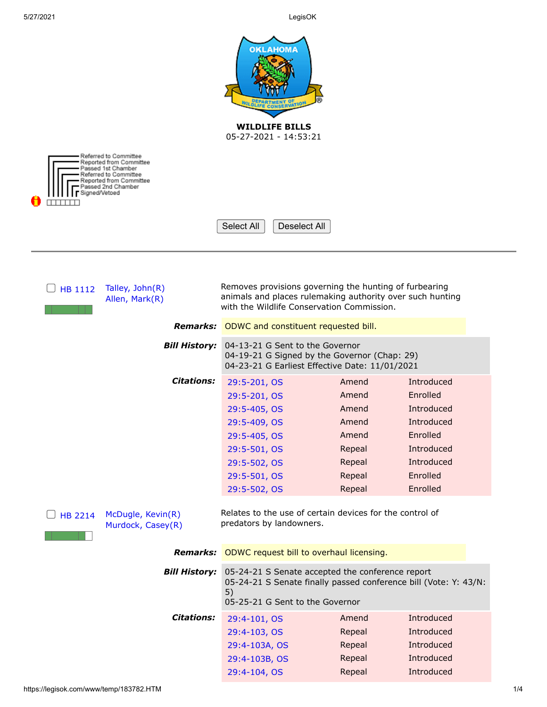| <b>OKLAHOMA</b><br><b>WILDLIFE BILLS</b><br>05-27-2021 - 14:53:21<br>Referred to Committee        |                                                                                                                                   |        |            |  |
|---------------------------------------------------------------------------------------------------|-----------------------------------------------------------------------------------------------------------------------------------|--------|------------|--|
| Reported from Committee<br>Passed 1st Chamber<br>Referred to Committee<br>Reported from Committee |                                                                                                                                   |        |            |  |
| 'assed 2nd Chamber<br>Signed/Vetoed                                                               |                                                                                                                                   |        |            |  |
|                                                                                                   |                                                                                                                                   |        |            |  |
|                                                                                                   | Select All<br>Deselect All                                                                                                        |        |            |  |
|                                                                                                   |                                                                                                                                   |        |            |  |
|                                                                                                   |                                                                                                                                   |        |            |  |
| Talley, John(R)<br>HB 1112                                                                        | Removes provisions governing the hunting of furbearing                                                                            |        |            |  |
| Allen, Mark(R)                                                                                    | animals and places rulemaking authority over such hunting<br>with the Wildlife Conservation Commission.                           |        |            |  |
|                                                                                                   |                                                                                                                                   |        |            |  |
|                                                                                                   | <b>Remarks:</b> ODWC and constituent requested bill.                                                                              |        |            |  |
| <b>Bill History:</b>                                                                              | 04-13-21 G Sent to the Governor<br>04-19-21 G Signed by the Governor (Chap: 29)<br>04-23-21 G Earliest Effective Date: 11/01/2021 |        |            |  |
| <b>Citations:</b>                                                                                 | 29:5-201, OS                                                                                                                      | Amend  | Introduced |  |
|                                                                                                   | 29:5-201, OS                                                                                                                      | Amend  | Enrolled   |  |
|                                                                                                   | 29:5-405, OS                                                                                                                      | Amend  | Introduced |  |
|                                                                                                   | 29:5-409, OS                                                                                                                      | Amend  | Introduced |  |
|                                                                                                   | 29:5-405, OS                                                                                                                      | Amend  | Enrolled   |  |
|                                                                                                   | 29:5-501, OS                                                                                                                      | Repeal | Introduced |  |
|                                                                                                   | 29:5-502, OS                                                                                                                      | Repeal | Introduced |  |
|                                                                                                   | 29:5-501, OS                                                                                                                      | Repeal | Enrolled   |  |
|                                                                                                   | 29:5-502, OS                                                                                                                      | Repeal | Enrolled   |  |
| McDugle, Kevin(R)<br><b>HB 2214</b><br>Murdock, Casey(R)                                          | Relates to the use of certain devices for the control of<br>predators by landowners.                                              |        |            |  |
|                                                                                                   | <b>Remarks:</b> ODWC request bill to overhaul licensing.                                                                          |        |            |  |
| <b>Bill History:</b>                                                                              | 05-24-21 S Senate accepted the conference report                                                                                  |        |            |  |
|                                                                                                   | 05-24-21 S Senate finally passed conference bill (Vote: Y: 43/N:                                                                  |        |            |  |
|                                                                                                   | 5)<br>05-25-21 G Sent to the Governor                                                                                             |        |            |  |
| <b>Citations:</b>                                                                                 | 29:4-101, OS                                                                                                                      | Amend  | Introduced |  |
|                                                                                                   | 29:4-103, OS                                                                                                                      | Repeal | Introduced |  |
|                                                                                                   | 29:4-103A, OS                                                                                                                     | Repeal | Introduced |  |
|                                                                                                   | 29:4-103B, OS                                                                                                                     | Repeal | Introduced |  |
|                                                                                                   | 29:4-104, OS                                                                                                                      | Repeal | Introduced |  |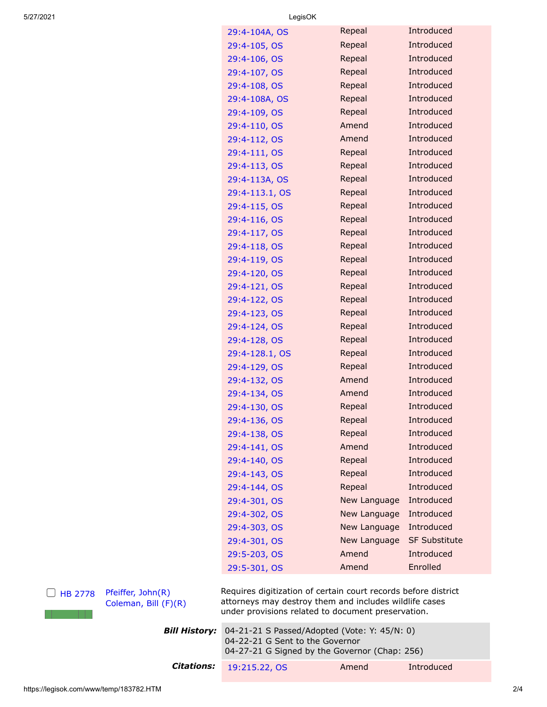| 29:4-104A, OS  | Repeal       | Introduced           |
|----------------|--------------|----------------------|
| 29:4-105, OS   | Repeal       | Introduced           |
| 29:4-106, OS   | Repeal       | Introduced           |
| 29:4-107, OS   | Repeal       | Introduced           |
| 29:4-108, OS   | Repeal       | Introduced           |
| 29:4-108A, OS  | Repeal       | Introduced           |
| 29:4-109, OS   | Repeal       | Introduced           |
| 29:4-110, OS   | Amend        | Introduced           |
| 29:4-112, OS   | Amend        | Introduced           |
| 29:4-111, OS   | Repeal       | Introduced           |
| 29:4-113, OS   | Repeal       | Introduced           |
| 29:4-113A, OS  | Repeal       | Introduced           |
| 29:4-113.1, OS | Repeal       | Introduced           |
| 29:4-115, OS   | Repeal       | Introduced           |
| 29:4-116, OS   | Repeal       | Introduced           |
| 29:4-117, OS   | Repeal       | Introduced           |
| 29:4-118, OS   | Repeal       | Introduced           |
| 29:4-119, OS   | Repeal       | Introduced           |
| 29:4-120, OS   | Repeal       | Introduced           |
| 29:4-121, OS   | Repeal       | Introduced           |
| 29:4-122, OS   | Repeal       | Introduced           |
| 29:4-123, OS   | Repeal       | Introduced           |
| 29:4-124, OS   | Repeal       | Introduced           |
| 29:4-128, OS   | Repeal       | Introduced           |
| 29:4-128.1, OS | Repeal       | Introduced           |
| 29:4-129, OS   | Repeal       | Introduced           |
| 29:4-132, OS   | Amend        | Introduced           |
| 29:4-134, OS   | Amend        | Introduced           |
| 29:4-130, OS   | Repeal       | Introduced           |
| 29:4-136, OS   | Repeal       | <b>Introduced</b>    |
| 29:4-138, OS   | Repeal       | Introduced           |
| 29:4-141, OS   | Amend        | Introduced           |
| 29:4-140, OS   | Repeal       | Introduced           |
| 29:4-143, OS   | Repeal       | Introduced           |
| 29:4-144, OS   | Repeal       | Introduced           |
| 29:4-301, OS   | New Language | Introduced           |
| 29:4-302, OS   | New Language | Introduced           |
| 29:4-303, OS   | New Language | Introduced           |
| 29:4-301, OS   | New Language | <b>SF Substitute</b> |
| 29:5-203, OS   | Amend        | Introduced           |
| 29:5-301, OS   | Amend        | Enrolled             |

 $\Box$  [HB 2778](http://www.oklegislature.gov/BillInfo.aspx?Bill=HB2778&Session=2100) [Pfeiffer, John\(R\)](http://www.okhouse.gov/District.aspx?District=38) [Coleman, Bill \(F\)\(R\)](http://oksenate.gov/Senators/biographies/Coleman_bio.aspx) Requires digitization of certain court records before district attorneys may destroy them and includes wildlife cases under provisions related to document preservation.

| <b>Bill History:</b> 04-21-21 S Passed/Adopted (Vote: Y: 45/N: 0)                |       |            |  |
|----------------------------------------------------------------------------------|-------|------------|--|
| 04-22-21 G Sent to the Governor<br>04-27-21 G Signed by the Governor (Chap: 256) |       |            |  |
| <b>Citations:</b> 19:215.22, OS                                                  | Amend | Introduced |  |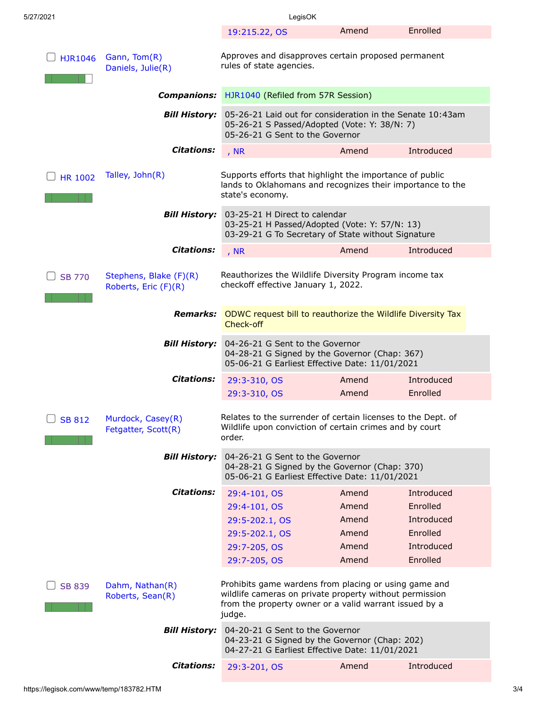| 5/27/2021                                                       | LegisOK                                                                                                                                                                              |                                                    |                                                                            |  |
|-----------------------------------------------------------------|--------------------------------------------------------------------------------------------------------------------------------------------------------------------------------------|----------------------------------------------------|----------------------------------------------------------------------------|--|
|                                                                 | 19:215.22, OS                                                                                                                                                                        | Amend                                              | Enrolled                                                                   |  |
| Gann, Tom(R)<br><b>HJR1046</b><br>Daniels, Julie(R)             | Approves and disapproves certain proposed permanent<br>rules of state agencies.                                                                                                      |                                                    |                                                                            |  |
| <b>Companions:</b>                                              | HJR1040 (Refiled from 57R Session)                                                                                                                                                   |                                                    |                                                                            |  |
| <b>Bill History:</b>                                            | 05-26-21 Laid out for consideration in the Senate 10:43am<br>05-26-21 S Passed/Adopted (Vote: Y: 38/N: 7)<br>05-26-21 G Sent to the Governor                                         |                                                    |                                                                            |  |
| <b>Citations:</b>                                               | , NR                                                                                                                                                                                 | Amend                                              | Introduced                                                                 |  |
| Talley, John(R)<br><b>HR 1002</b>                               | Supports efforts that highlight the importance of public<br>lands to Oklahomans and recognizes their importance to the<br>state's economy.                                           |                                                    |                                                                            |  |
| <b>Bill History:</b>                                            | 03-25-21 H Direct to calendar<br>03-25-21 H Passed/Adopted (Vote: Y: 57/N: 13)<br>03-29-21 G To Secretary of State without Signature                                                 |                                                    |                                                                            |  |
| <b>Citations:</b>                                               | , NR                                                                                                                                                                                 | Amend                                              | Introduced                                                                 |  |
| Stephens, Blake (F)(R)<br><b>SB 770</b><br>Roberts, Eric (F)(R) | Reauthorizes the Wildlife Diversity Program income tax<br>checkoff effective January 1, 2022.                                                                                        |                                                    |                                                                            |  |
| Remarks:                                                        | ODWC request bill to reauthorize the Wildlife Diversity Tax<br>Check-off                                                                                                             |                                                    |                                                                            |  |
| <b>Bill History:</b>                                            | 04-26-21 G Sent to the Governor<br>04-28-21 G Signed by the Governor (Chap: 367)<br>05-06-21 G Earliest Effective Date: 11/01/2021                                                   |                                                    |                                                                            |  |
| <b>Citations:</b>                                               | 29:3-310, OS<br>29:3-310, OS                                                                                                                                                         | Amend<br>Amend                                     | Introduced<br>Enrolled                                                     |  |
| Murdock, Casey(R)<br><b>SB 812</b><br>Fetgatter, Scott(R)       | Relates to the surrender of certain licenses to the Dept. of<br>Wildlife upon conviction of certain crimes and by court<br>order.                                                    |                                                    |                                                                            |  |
| <b>Bill History:</b>                                            | 04-26-21 G Sent to the Governor<br>04-28-21 G Signed by the Governor (Chap: 370)<br>05-06-21 G Earliest Effective Date: 11/01/2021                                                   |                                                    |                                                                            |  |
| <b>Citations:</b>                                               | 29:4-101, OS<br>29:4-101, OS<br>29:5-202.1, OS<br>29:5-202.1, OS<br>29:7-205, OS<br>29:7-205, OS                                                                                     | Amend<br>Amend<br>Amend<br>Amend<br>Amend<br>Amend | Introduced<br>Enrolled<br>Introduced<br>Enrolled<br>Introduced<br>Enrolled |  |
| Dahm, Nathan(R)<br><b>SB 839</b><br>Roberts, Sean(R)            | Prohibits game wardens from placing or using game and<br>wildlife cameras on private property without permission<br>from the property owner or a valid warrant issued by a<br>judge. |                                                    |                                                                            |  |
| <b>Bill History:</b>                                            | 04-20-21 G Sent to the Governor<br>04-23-21 G Signed by the Governor (Chap: 202)<br>04-27-21 G Earliest Effective Date: 11/01/2021                                                   |                                                    |                                                                            |  |
| <b>Citations:</b>                                               | 29:3-201, OS                                                                                                                                                                         | Amend                                              | Introduced                                                                 |  |